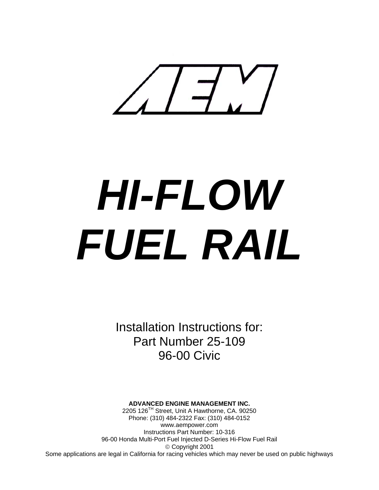

# *HI-FLOW FUEL RAIL*

Installation Instructions for: Part Number 25-109 96-00 Civic

#### **ADVANCED ENGINE MANAGEMENT INC.**

2205 126TH Street, Unit A Hawthorne, CA. 90250 Phone: (310) 484-2322 Fax: (310) 484-0152 www.aempower.com Instructions Part Number: 10-316 96-00 Honda Multi-Port Fuel Injected D-Series Hi-Flow Fuel Rail © Copyright 2001 Some applications are legal in California for racing vehicles which may never be used on public highways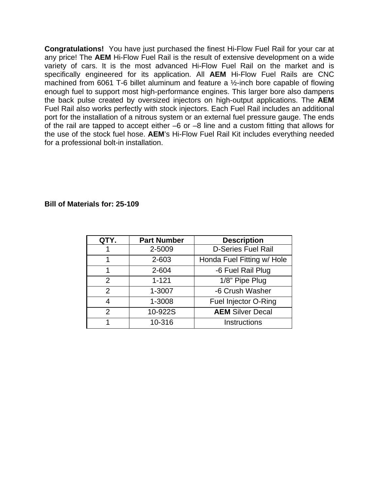**Congratulations!** You have just purchased the finest Hi-Flow Fuel Rail for your car at any price! The **AEM** Hi-Flow Fuel Rail is the result of extensive development on a wide variety of cars. It is the most advanced Hi-Flow Fuel Rail on the market and is specifically engineered for its application. All **AEM** Hi-Flow Fuel Rails are CNC machined from 6061 T-6 billet aluminum and feature a ½-inch bore capable of flowing enough fuel to support most high-performance engines. This larger bore also dampens the back pulse created by oversized injectors on high-output applications. The **AEM** Fuel Rail also works perfectly with stock injectors. Each Fuel Rail includes an additional port for the installation of a nitrous system or an external fuel pressure gauge. The ends of the rail are tapped to accept either –6 or –8 line and a custom fitting that allows for the use of the stock fuel hose. **AEM**'s Hi-Flow Fuel Rail Kit includes everything needed for a professional bolt-in installation.

#### **Bill of Materials for: 25-109**

| QTY.           | <b>Part Number</b> | <b>Description</b>         |
|----------------|--------------------|----------------------------|
|                | 2-5009             | <b>D-Series Fuel Rail</b>  |
|                | 2-603              | Honda Fuel Fitting w/ Hole |
| 1              | 2-604              | -6 Fuel Rail Plug          |
| 2              | $1 - 121$          | 1/8" Pipe Plug             |
| $\overline{2}$ | 1-3007             | -6 Crush Washer            |
| 4              | 1-3008             | Fuel Injector O-Ring       |
| 2              | 10-922S            | <b>AEM</b> Silver Decal    |
|                | 10-316             | <b>Instructions</b>        |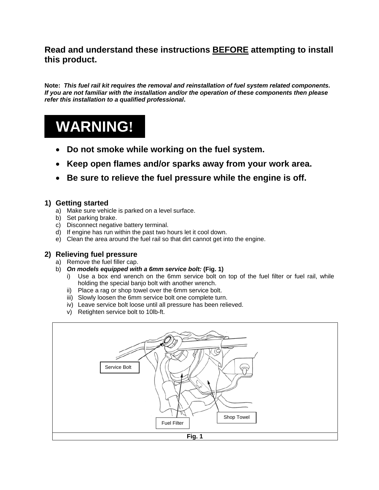## **Read and understand these instructions BEFORE attempting to install this product.**

**Note:** *This fuel rail kit requires the removal and reinstallation of fuel system related components. If you are not familiar with the installation and/or the operation of these components then please refer this installation to a qualified professional***.** 

# **WARNING!**

- **Do not smoke while working on the fuel system.**
- **Keep open flames and/or sparks away from your work area.**
- **Be sure to relieve the fuel pressure while the engine is off.**

## **1) Getting started**

- a) Make sure vehicle is parked on a level surface.
- b) Set parking brake.
- c) Disconnect negative battery terminal.
- d) If engine has run within the past two hours let it cool down.
- e) Clean the area around the fuel rail so that dirt cannot get into the engine.

## **2) Relieving fuel pressure**

- a) Remove the fuel filler cap.
- b) *On models equipped with a 6mm service bolt:* **(Fig. 1)**
	- i) Use a box end wrench on the 6mm service bolt on top of the fuel filter or fuel rail, while holding the special banjo bolt with another wrench.
	- ii) Place a rag or shop towel over the 6mm service bolt.
	- iii) Slowly loosen the 6mm service bolt one complete turn.
	- iv) Leave service bolt loose until all pressure has been relieved.
	- v) Retighten service bolt to 10lb-ft.

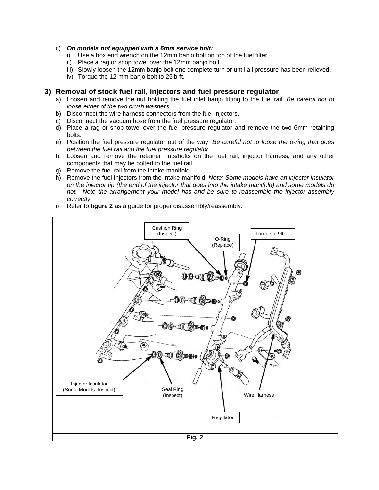#### c) *On models not equipped with a 6mm service bolt:*

- i) Use a box end wrench on the 12mm banjo bolt on top of the fuel filter.
- ii) Place a rag or shop towel over the 12mm banjo bolt.
- iii) Slowly loosen the 12mm banjo bolt one complete turn or until all pressure has been relieved.
- iv) Torque the 12 mm banjo bolt to 25lb-ft.

#### **3) Removal of stock fuel rail, injectors and fuel pressure regulator**

- a) Loosen and remove the nut holding the fuel inlet banjo fitting to the fuel rail. *Be careful not to loose either of the two crush washers*.
- b) Disconnect the wire harness connectors from the fuel injectors.
- c) Disconnect the vacuum hose from the fuel pressure regulator.
- d) Place a rag or shop towel over the fuel pressure regulator and remove the two 6mm retaining bolts.
- e) Position the fuel pressure regulator out of the way. *Be careful not to loose the o-ring that goes between the fuel rail and the fuel pressure regulator.*
- f) Loosen and remove the retainer nuts/bolts on the fuel rail, injector harness, and any other components that may be bolted to the fuel rail.
- g) Remove the fuel rail from the intake manifold.
- h) Remove the fuel injectors from the intake manifold. *Note: Some models have an injector insulator on the injector tip (the end of the injector that goes into the intake manifold) and some models do not. Note the arrangement your model has and be sure to reassemble the injector assembly correctly*.
- i) Refer to **figure 2** as a guide for proper disassembly/reassembly.

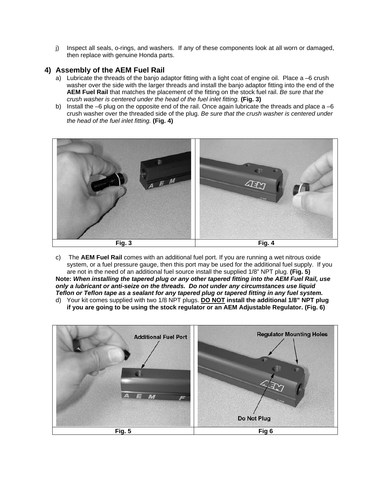j) Inspect all seals, o-rings, and washers. If any of these components look at all worn or damaged, then replace with genuine Honda parts.

#### **4) Assembly of the AEM Fuel Rail**

- a) Lubricate the threads of the banjo adaptor fitting with a light coat of engine oil. Place a –6 crush washer over the side with the larger threads and install the banjo adaptor fitting into the end of the **AEM Fuel Rail** that matches the placement of the fitting on the stock fuel rail. *Be sure that the crush washer is centered under the head of the fuel inlet fitting.* **(Fig. 3)**
- b) Install the –6 plug on the opposite end of the rail. Once again lubricate the threads and place  $a -6$ crush washer over the threaded side of the plug. *Be sure that the crush washer is centered under the head of the fuel inlet fitting.* **(Fig. 4)**



- c) The **AEM Fuel Rail** comes with an additional fuel port. If you are running a wet nitrous oxide system, or a fuel pressure gauge, then this port may be used for the additional fuel supply. If you are not in the need of an additional fuel source install the supplied 1/8" NPT plug. **(Fig. 5) Note:** *When installing the tapered plug or any other tapered fitting into the AEM Fuel Rail, use only a lubricant or anti-seize on the threads. Do not under any circumstances use liquid Teflon or Teflon tape as a sealant for any tapered plug or tapered fitting in any fuel system.*
- d) Your kit comes supplied with two 1/8 NPT plugs. **DO NOT install the additional 1/8" NPT plug if you are going to be using the stock regulator or an AEM Adjustable Regulator. (Fig. 6)**